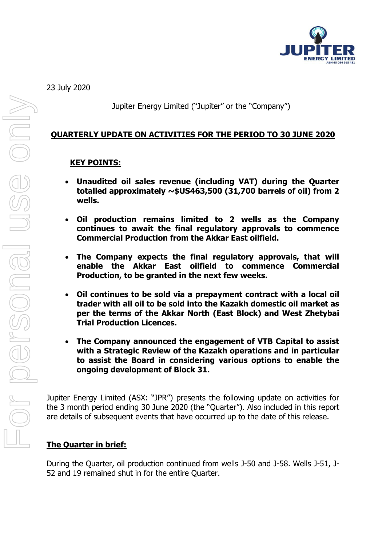

23 July 2020

Jupiter Energy Limited ("Jupiter" or the "Company")

## **QUARTERLY UPDATE ON ACTIVITIES FOR THE PERIOD TO 30 JUNE 2020**

### **KEY POINTS:**

- **Unaudited oil sales revenue (including VAT) during the Quarter totalled approximately ~\$US463,500 (31,700 barrels of oil) from 2 wells.**
- **Oil production remains limited to 2 wells as the Company continues to await the final regulatory approvals to commence Commercial Production from the Akkar East oilfield.**
- **The Company expects the final regulatory approvals, that will enable the Akkar East oilfield to commence Commercial Production, to be granted in the next few weeks.**
- **Oil continues to be sold via a prepayment contract with a local oil trader with all oil to be sold into the Kazakh domestic oil market as per the terms of the Akkar North (East Block) and West Zhetybai Trial Production Licences.**
- **The Company announced the engagement of VTB Capital to assist with a Strategic Review of the Kazakh operations and in particular to assist the Board in considering various options to enable the ongoing development of Block 31.**

Jupiter Energy Limited (ASX: "JPR") presents the following update on activities for the 3 month period ending 30 June 2020 (the "Quarter"). Also included in this report are details of subsequent events that have occurred up to the date of this release.

## **The Quarter in brief:**

During the Quarter, oil production continued from wells J-50 and J-58. Wells J-51, J-52 and 19 remained shut in for the entire Quarter.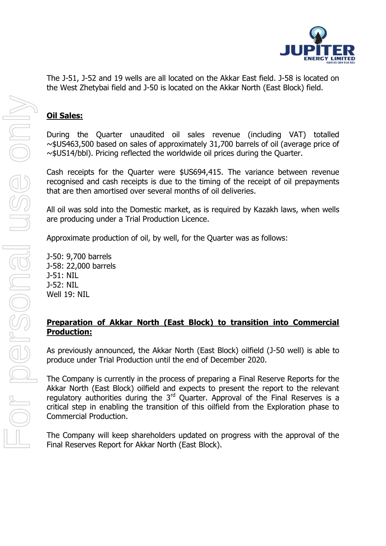

## **Oil Sales:**

During the Quarter unaudited oil sales revenue (including VAT) totalled ~\$US463,500 based on sales of approximately 31,700 barrels of oil (average price of ~\$US14/bbl). Pricing reflected the worldwide oil prices during the Quarter.

Cash receipts for the Quarter were \$US694,415. The variance between revenue recognised and cash receipts is due to the timing of the receipt of oil prepayments that are then amortised over several months of oil deliveries.

All oil was sold into the Domestic market, as is required by Kazakh laws, when wells are producing under a Trial Production Licence.

Approximate production of oil, by well, for the Quarter was as follows:

J-50: 9,700 barrels J-58: 22,000 barrels J-51: NIL J-52: NIL Well 19: NIL

## **Preparation of Akkar North (East Block) to transition into Commercial Production:**

As previously announced, the Akkar North (East Block) oilfield (J-50 well) is able to produce under Trial Production until the end of December 2020.

The Company is currently in the process of preparing a Final Reserve Reports for the Akkar North (East Block) oilfield and expects to present the report to the relevant regulatory authorities during the  $3<sup>rd</sup>$  Quarter. Approval of the Final Reserves is a critical step in enabling the transition of this oilfield from the Exploration phase to Commercial Production.

The Company will keep shareholders updated on progress with the approval of the Final Reserves Report for Akkar North (East Block).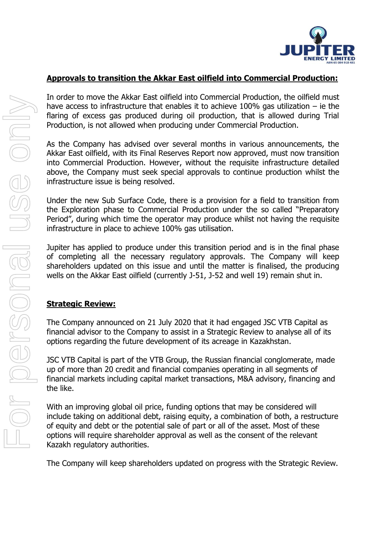

### **Approvals to transition the Akkar East oilfield into Commercial Production:**

In order to move the Akkar East oilfield into Commercial Production, the oilfield must have access to infrastructure that enables it to achieve 100% gas utilization – ie the flaring of excess gas produced during oil production, that is allowed during Trial Production, is not allowed when producing under Commercial Production.

As the Company has advised over several months in various announcements, the Akkar East oilfield, with its Final Reserves Report now approved, must now transition into Commercial Production. However, without the requisite infrastructure detailed above, the Company must seek special approvals to continue production whilst the infrastructure issue is being resolved.

Under the new Sub Surface Code, there is a provision for a field to transition from the Exploration phase to Commercial Production under the so called "Preparatory Period", during which time the operator may produce whilst not having the requisite infrastructure in place to achieve 100% gas utilisation.

Jupiter has applied to produce under this transition period and is in the final phase of completing all the necessary regulatory approvals. The Company will keep shareholders updated on this issue and until the matter is finalised, the producing wells on the Akkar East oilfield (currently J-51, J-52 and well 19) remain shut in.

## **Strategic Review:**

The Company announced on 21 July 2020 that it had engaged JSC VTB Capital as financial advisor to the Company to assist in a Strategic Review to analyse all of its options regarding the future development of its acreage in Kazakhstan.

JSC VTB Capital is part of the VTB Group, the Russian financial conglomerate, made up of more than 20 credit and financial companies operating in all segments of financial markets including capital market transactions, M&A advisory, financing and the like.

With an improving global oil price, funding options that may be considered will include taking on additional debt, raising equity, a combination of both, a restructure of equity and debt or the potential sale of part or all of the asset. Most of these options will require shareholder approval as well as the consent of the relevant Kazakh regulatory authorities.

The Company will keep shareholders updated on progress with the Strategic Review.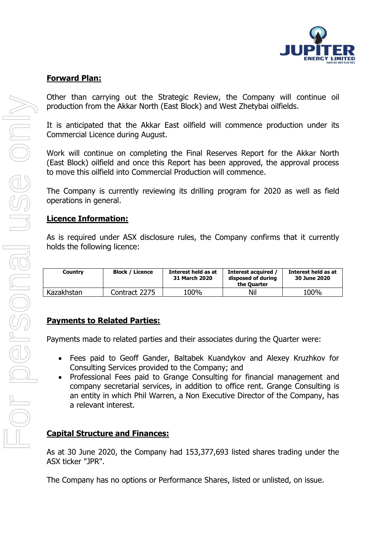

#### **Forward Plan:**

Other than carrying out the Strategic Review, the Company will continue oil production from the Akkar North (East Block) and West Zhetybai oilfields.

It is anticipated that the Akkar East oilfield will commence production under its Commercial Licence during August.

Work will continue on completing the Final Reserves Report for the Akkar North (East Block) oilfield and once this Report has been approved, the approval process to move this oilfield into Commercial Production will commence.

The Company is currently reviewing its drilling program for 2020 as well as field operations in general.

#### **Licence Information:**

As is required under ASX disclosure rules, the Company confirms that it currently holds the following licence:

| Country    | <b>Block / Licence</b> | Interest held as at<br>31 March 2020 | Interest acquired<br>disposed of during<br>the Ouarter | Interest held as at<br>30 June 2020 |
|------------|------------------------|--------------------------------------|--------------------------------------------------------|-------------------------------------|
| Kazakhstan | Contract 2275          | 100%                                 | Nil                                                    | 100%                                |

### **Payments to Related Parties:**

Payments made to related parties and their associates during the Quarter were:

- Fees paid to Geoff Gander, Baltabek Kuandykov and Alexey Kruzhkov for Consulting Services provided to the Company; and
- Professional Fees paid to Grange Consulting for financial management and company secretarial services, in addition to office rent. Grange Consulting is an entity in which Phil Warren, a Non Executive Director of the Company, has a relevant interest.

### **Capital Structure and Finances:**

As at 30 June 2020, the Company had 153,377,693 listed shares trading under the ASX ticker "JPR".

The Company has no options or Performance Shares, listed or unlisted, on issue.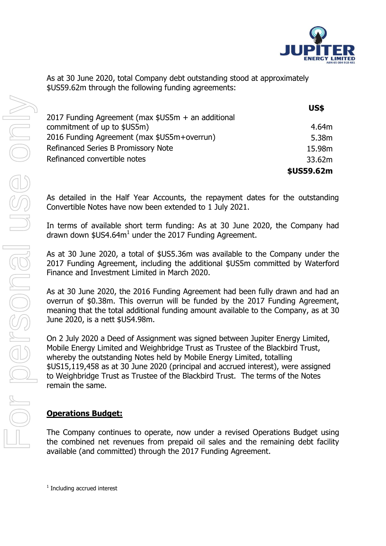

As at 30 June 2020, total Company debt outstanding stood at approximately \$US59.62m through the following funding agreements:

|                                                    | <b>US\$</b>       |
|----------------------------------------------------|-------------------|
| 2017 Funding Agreement (max \$US5m + an additional |                   |
| commitment of up to \$US5m)                        | 4.64m             |
| 2016 Funding Agreement (max \$US5m+overrun)        | 5.38 <sub>m</sub> |
| Refinanced Series B Promissory Note                | 15.98m            |
| Refinanced convertible notes                       | 33.62m            |
|                                                    | \$US59.62m        |

As detailed in the Half Year Accounts, the repayment dates for the outstanding Convertible Notes have now been extended to 1 July 2021.

In terms of available short term funding: As at 30 June 2020, the Company had drawn down \$US4.64 $m<sup>1</sup>$  under the 2017 Funding Agreement.

As at 30 June 2020, a total of \$US5.36m was available to the Company under the 2017 Funding Agreement, including the additional \$US5m committed by Waterford Finance and Investment Limited in March 2020.

As at 30 June 2020, the 2016 Funding Agreement had been fully drawn and had an overrun of \$0.38m. This overrun will be funded by the 2017 Funding Agreement, meaning that the total additional funding amount available to the Company, as at 30 June 2020, is a nett \$US4.98m.

On 2 July 2020 a Deed of Assignment was signed between Jupiter Energy Limited, Mobile Energy Limited and Weighbridge Trust as Trustee of the Blackbird Trust, whereby the outstanding Notes held by Mobile Energy Limited, totalling \$US15,119,458 as at 30 June 2020 (principal and accrued interest), were assigned to Weighbridge Trust as Trustee of the Blackbird Trust. The terms of the Notes remain the same.

### **Operations Budget:**

The Company continues to operate, now under a revised Operations Budget using the combined net revenues from prepaid oil sales and the remaining debt facility available (and committed) through the 2017 Funding Agreement.

<sup>1</sup> Including accrued interest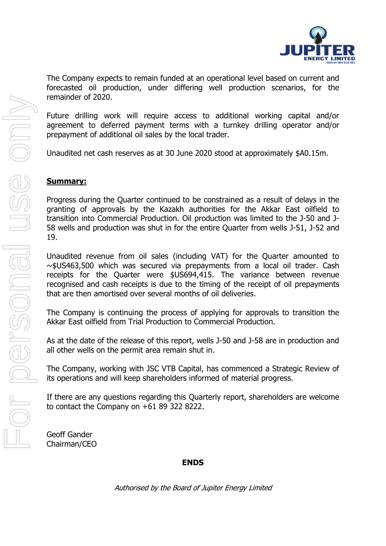

The Company expects to remain funded at an operational level based on current and forecasted oil production, under differing well production scenarios, for the remainder of 2020.

Future drilling work will require access to additional working capital and/or agreement to deferred payment terms with a turnkey drilling operator and/or prepayment of additional oil sales by the local trader.

Unaudited net cash reserves as at 30 June 2020 stood at approximately \$A0.15m.

### **Summary:**

Progress during the Quarter continued to be constrained as a result of delays in the granting of approvals by the Kazakh authorities for the Akkar East oilfield to transition into Commercial Production. Oil production was limited to the J-50 and J-58 wells and production was shut in for the entire Quarter from wells J-51, J-52 and 19.

Unaudited revenue from oil sales (including VAT) for the Quarter amounted to ~\$US463,500 which was secured via prepayments from a local oil trader. Cash receipts for the Quarter were \$US694,415. The variance between revenue recognised and cash receipts is due to the timing of the receipt of oil prepayments that are then amortised over several months of oil deliveries.

The Company is continuing the process of applying for approvals to transition the Akkar East oilfield from Trial Production to Commercial Production.

As at the date of the release of this report, wells J-50 and J-58 are in production and all other wells on the permit area remain shut in.

The Company, working with JSC VTB Capital, has commenced a Strategic Review of its operations and will keep shareholders informed of material progress.

If there are any questions regarding this Quarterly report, shareholders are welcome to contact the Company on +61 89 322 8222.

Geoff Gander Chairman/CEO

#### **ENDS**

Authorised by the Board of Jupiter Energy Limited